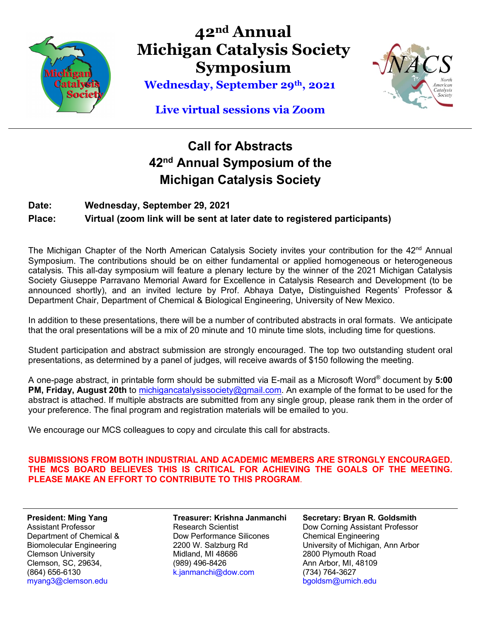

**42nd Annual Michigan Catalysis Society Symposium**

**Wednesday, September 29th , 2021**



### **Live virtual sessions via Zoom**

## **Call for Abstracts 42nd Annual Symposium of the Michigan Catalysis Society**

### **Date: Wednesday, September 29, 2021 Place: Virtual (zoom link will be sent at later date to registered participants)**

The Michigan Chapter of the North American Catalysis Society invites your contribution for the  $42<sup>nd</sup>$  Annual Symposium. The contributions should be on either fundamental or applied homogeneous or heterogeneous catalysis. This all-day symposium will feature a plenary lecture by the winner of the 2021 Michigan Catalysis Society Giuseppe Parravano Memorial Award for Excellence in Catalysis Research and Development (to be announced shortly), and an invited lecture by Prof. Abhaya Datye**,** Distinguished Regents' Professor & Department Chair, Department of Chemical & Biological Engineering, University of New Mexico.

In addition to these presentations, there will be a number of contributed abstracts in oral formats. We anticipate that the oral presentations will be a mix of 20 minute and 10 minute time slots, including time for questions.

Student participation and abstract submission are strongly encouraged. The top two outstanding student oral presentations, as determined by a panel of judges, will receive awards of \$150 following the meeting.

A one-page abstract, in printable form should be submitted via E-mail as a Microsoft Word® document by **5:00 PM, Friday, August 20th** to michigancatalysissociety@gmail.com. An example of the format to be used for the abstract is attached. If multiple abstracts are submitted from any single group, please rank them in the order of your preference. The final program and registration materials will be emailed to you.

We encourage our MCS colleagues to copy and circulate this call for abstracts.

**SUBMISSIONS FROM BOTH INDUSTRIAL AND ACADEMIC MEMBERS ARE STRONGLY ENCOURAGED. THE MCS BOARD BELIEVES THIS IS CRITICAL FOR ACHIEVING THE GOALS OF THE MEETING. PLEASE MAKE AN EFFORT TO CONTRIBUTE TO THIS PROGRAM**.

**President: Ming Yang** Assistant Professor Department of Chemical & Biomolecular Engineering Clemson University Clemson, SC, 29634, (864) 656-6130 myang3@clemson.edu

**Treasurer: Krishna Janmanchi** Research Scientist Dow Performance Silicones 2200 W. Salzburg Rd Midland, MI 48686 (989) 496-8426 k.janmanchi@dow.com

**Secretary: Bryan R. Goldsmith** Dow Corning Assistant Professor Chemical Engineering University of Michigan, Ann Arbor 2800 Plymouth Road Ann Arbor, MI, 48109 (734) 764-3627 bgoldsm@umich.edu